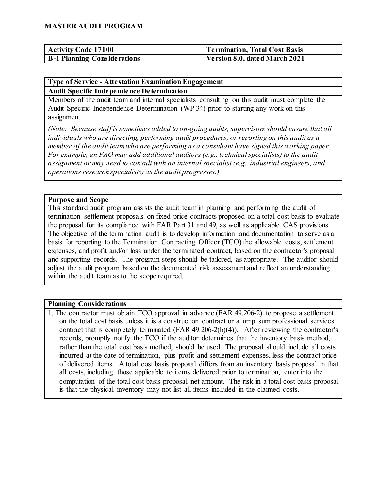| <b>Activity Code 17100</b>         | Termination, Total Cost Basis |
|------------------------------------|-------------------------------|
| <b>B-1 Planning Considerations</b> | Version 8.0, dated March 2021 |

# **Type of Service - Attestation Examination Engagement**

#### **Audit Specific Independence Determination**

Members of the audit team and internal specialists consulting on this audit must complete the Audit Specific Independence Determination (WP 34) prior to starting any work on this assignment.

*(Note: Because staff is sometimes added to on-going audits, supervisors should ensure that all individuals who are directing, performing audit procedures, or reporting on this audit as a member of the audit team who are performing as a consultant have signed this working paper. For example, an FAO may add additional auditors (e.g., technical specialists) to the audit assignment or may need to consult with an internal specialist (e.g., industrial engineers, and operations research specialists) as the audit progresses.)*

#### **Purpose and Scope**

This standard audit program assists the audit team in planning and performing the audit of termination settlement proposals on fixed price contracts proposed on a total cost basis to evaluate the proposal for its compliance with FAR Part 31 and 49, as well as applicable CAS provisions. The objective of the termination audit is to develop information and documentation to serve as a basis for reporting to the Termination Contracting Officer (TCO) the allowable costs, settlement expenses, and profit and/or loss under the terminated contract, based on the contractor's proposal and supporting records. The program steps should be tailored, as appropriate. The auditor should adjust the audit program based on the documented risk assessment and reflect an understanding within the audit team as to the scope required.

#### **Planning Considerations**

1. The contractor must obtain TCO approval in advance (FAR 49.206-2) to propose a settlement on the total cost basis unless it is a construction contract or a lump sum professional services contract that is completely terminated (FAR 49.206-2(b)(4)). After reviewing the contractor's records, promptly notify the TCO if the auditor determines that the inventory basis method, rather than the total cost basis method, should be used. The proposal should include all costs incurred at the date of termination, plus profit and settlement expenses, less the contract price of delivered items. A total cost basis proposal differs from an inventory basis proposal in that all costs, including those applicable to items delivered prior to termination, enter into the computation of the total cost basis proposal net amount. The risk in a total cost basis proposal is that the physical inventory may not list all items included in the claimed costs.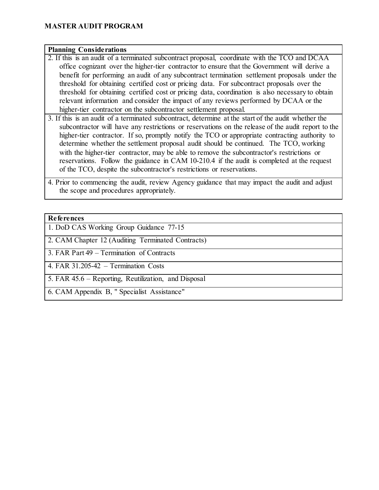#### **Planning Considerations**

- 2. If this is an audit of a terminated subcontract proposal, coordinate with the TCO and DCAA office cognizant over the higher-tier contractor to ensure that the Government will derive a benefit for performing an audit of any subcontract termination settlement proposals under the threshold for obtaining certified cost or pricing data. For subcontract proposals over the threshold for obtaining certified cost or pricing data, coordination is also necessary to obtain relevant information and consider the impact of any reviews performed by DCAA or the higher-tier contractor on the subcontractor settlement proposal.
- 3. If this is an audit of a terminated subcontract, determine at the start of the audit whether the subcontractor will have any restrictions or reservations on the release of the audit report to the higher-tier contractor. If so, promptly notify the TCO or appropriate contracting authority to determine whether the settlement proposal audit should be continued. The TCO, working with the higher-tier contractor, may be able to remove the subcontractor's restrictions or reservations. Follow the guidance in CAM 10-210.4 if the audit is completed at the request of the TCO, despite the subcontractor's restrictions or reservations.
- 4. Prior to commencing the audit, review Agency guidance that may impact the audit and adjust the scope and procedures appropriately.

#### **References**

1. DoD CAS Working Group Guidance 77-15

2. CAM Chapter 12 (Auditing Terminated Contracts)

3. FAR Part 49 – Termination of Contracts

4. FAR 31.205-42 – Termination Costs

5. FAR 45.6 – Reporting, Reutilization, and Disposal

6. CAM Appendix B, " Specialist Assistance"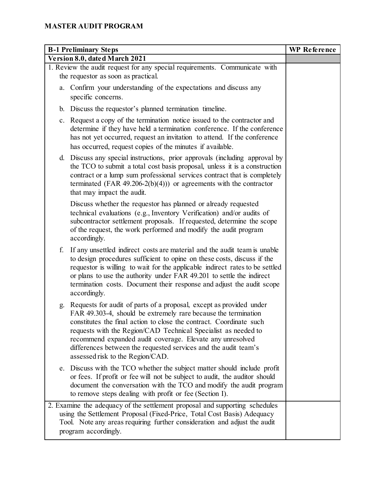| <b>B-1 Preliminary Steps</b>                                                                                                                                                                                                                                                                                                                                                                                                                             | <b>WP</b> Reference |
|----------------------------------------------------------------------------------------------------------------------------------------------------------------------------------------------------------------------------------------------------------------------------------------------------------------------------------------------------------------------------------------------------------------------------------------------------------|---------------------|
| Version 8.0, dated March 2021                                                                                                                                                                                                                                                                                                                                                                                                                            |                     |
| 1. Review the audit request for any special requirements. Communicate with                                                                                                                                                                                                                                                                                                                                                                               |                     |
| the requestor as soon as practical.                                                                                                                                                                                                                                                                                                                                                                                                                      |                     |
| a. Confirm your understanding of the expectations and discuss any<br>specific concerns.                                                                                                                                                                                                                                                                                                                                                                  |                     |
| b. Discuss the requestor's planned termination timeline.                                                                                                                                                                                                                                                                                                                                                                                                 |                     |
| c. Request a copy of the termination notice issued to the contractor and<br>determine if they have held a termination conference. If the conference<br>has not yet occurred, request an invitation to attend. If the conference<br>has occurred, request copies of the minutes if available.                                                                                                                                                             |                     |
| d. Discuss any special instructions, prior approvals (including approval by<br>the TCO to submit a total cost basis proposal, unless it is a construction<br>contract or a lump sum professional services contract that is completely<br>terminated (FAR 49.206-2(b)(4))) or agreements with the contractor<br>that may impact the audit.                                                                                                                |                     |
| Discuss whether the requestor has planned or already requested<br>technical evaluations (e.g., Inventory Verification) and/or audits of<br>subcontractor settlement proposals. If requested, determine the scope<br>of the request, the work performed and modify the audit program<br>accordingly.                                                                                                                                                      |                     |
| f.<br>If any unsettled indirect costs are material and the audit team is unable<br>to design procedures sufficient to opine on these costs, discuss if the<br>requestor is willing to wait for the applicable indirect rates to be settled<br>or plans to use the authority under FAR 49.201 to settle the indirect<br>termination costs. Document their response and adjust the audit scope<br>accordingly.                                             |                     |
| Requests for audit of parts of a proposal, except as provided under<br>g.<br>FAR 49.303-4, should be extremely rare because the termination<br>constitutes the final action to close the contract. Coordinate such<br>requests with the Region/CAD Technical Specialist as needed to<br>recommend expanded audit coverage. Elevate any unresolved<br>differences between the requested services and the audit team's<br>assessed risk to the Region/CAD. |                     |
| e. Discuss with the TCO whether the subject matter should include profit<br>or fees. If profit or fee will not be subject to audit, the auditor should<br>document the conversation with the TCO and modify the audit program<br>to remove steps dealing with profit or fee (Section I).                                                                                                                                                                 |                     |
| 2. Examine the adequacy of the settlement proposal and supporting schedules<br>using the Settlement Proposal (Fixed-Price, Total Cost Basis) Adequacy<br>Tool. Note any areas requiring further consideration and adjust the audit<br>program accordingly.                                                                                                                                                                                               |                     |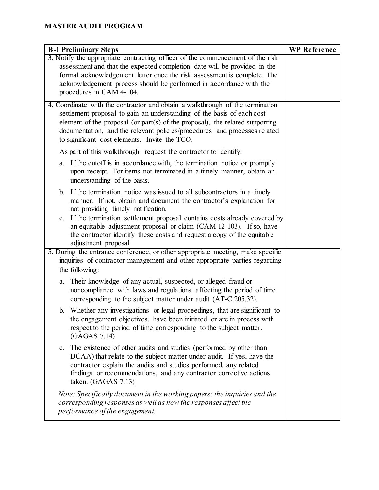| <b>B-1 Preliminary Steps</b>                                                                                                                                                                                                                                                                                                                                                                                                                     | <b>WP</b> Reference |
|--------------------------------------------------------------------------------------------------------------------------------------------------------------------------------------------------------------------------------------------------------------------------------------------------------------------------------------------------------------------------------------------------------------------------------------------------|---------------------|
| 3. Notify the appropriate contracting officer of the commencement of the risk<br>assessment and that the expected completion date will be provided in the<br>formal acknowledgement letter once the risk assessment is complete. The<br>acknowledgement process should be performed in accordance with the<br>procedures in CAM 4-104.                                                                                                           |                     |
| 4. Coordinate with the contractor and obtain a walkthrough of the termination<br>settlement proposal to gain an understanding of the basis of each cost<br>element of the proposal (or part(s) of the proposal), the related supporting<br>documentation, and the relevant policies/procedures and processes related<br>to significant cost elements. Invite the TCO.                                                                            |                     |
| As part of this walkthrough, request the contractor to identify:                                                                                                                                                                                                                                                                                                                                                                                 |                     |
| a. If the cutoff is in accordance with, the termination notice or promptly<br>upon receipt. For items not terminated in a timely manner, obtain an<br>understanding of the basis.                                                                                                                                                                                                                                                                |                     |
| b. If the termination notice was issued to all subcontractors in a timely<br>manner. If not, obtain and document the contractor's explanation for<br>not providing timely notification.<br>c. If the termination settlement proposal contains costs already covered by<br>an equitable adjustment proposal or claim (CAM 12-103). If so, have<br>the contractor identify these costs and request a copy of the equitable<br>adjustment proposal. |                     |
| 5. During the entrance conference, or other appropriate meeting, make specific<br>inquiries of contractor management and other appropriate parties regarding<br>the following:                                                                                                                                                                                                                                                                   |                     |
| a. Their knowledge of any actual, suspected, or alleged fraud or<br>noncompliance with laws and regulations affecting the period of time<br>corresponding to the subject matter under audit (AT-C 205.32).                                                                                                                                                                                                                                       |                     |
| b. Whether any investigations or legal proceedings, that are significant to<br>the engagement objectives, have been initiated or are in process with<br>respect to the period of time corresponding to the subject matter.<br>(GAGAS 7.14)                                                                                                                                                                                                       |                     |
| The existence of other audits and studies (performed by other than<br>$c_{\cdot}$<br>DCAA) that relate to the subject matter under audit. If yes, have the<br>contractor explain the audits and studies performed, any related<br>findings or recommendations, and any contractor corrective actions<br>taken. (GAGAS 7.13)                                                                                                                      |                     |
| Note: Specifically document in the working papers; the inquiries and the<br>corresponding responses as well as how the responses affect the<br>performance of the engagement.                                                                                                                                                                                                                                                                    |                     |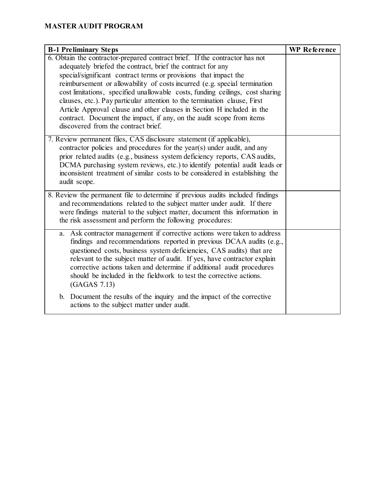| <b>B-1 Preliminary Steps</b>                                                                                                                                                                                                                                                                                                                                                                                                                                                                                                                                                                                                                       | <b>WP</b> Reference |
|----------------------------------------------------------------------------------------------------------------------------------------------------------------------------------------------------------------------------------------------------------------------------------------------------------------------------------------------------------------------------------------------------------------------------------------------------------------------------------------------------------------------------------------------------------------------------------------------------------------------------------------------------|---------------------|
| 6. Obtain the contractor-prepared contract brief. If the contractor has not<br>adequately briefed the contract, brief the contract for any<br>special/significant contract terms or provisions that impact the<br>reimbursement or allowability of costs incurred (e.g. special termination<br>cost limitations, specified unallowable costs, funding ceilings, cost sharing<br>clauses, etc.). Pay particular attention to the termination clause, First<br>Article Approval clause and other clauses in Section H included in the<br>contract. Document the impact, if any, on the audit scope from items<br>discovered from the contract brief. |                     |
| 7. Review permanent files, CAS disclosure statement (if applicable),<br>contractor policies and procedures for the year(s) under audit, and any<br>prior related audits (e.g., business system deficiency reports, CAS audits,<br>DCMA purchasing system reviews, etc.) to identify potential audit leads or<br>inconsistent treatment of similar costs to be considered in establishing the<br>audit scope.                                                                                                                                                                                                                                       |                     |
| 8. Review the permanent file to determine if previous audits included findings<br>and recommendations related to the subject matter under audit. If there<br>were findings material to the subject matter, document this information in<br>the risk assessment and perform the following procedures:                                                                                                                                                                                                                                                                                                                                               |                     |
| a. Ask contractor management if corrective actions were taken to address<br>findings and recommendations reported in previous DCAA audits (e.g.,<br>questioned costs, business system deficiencies, CAS audits) that are<br>relevant to the subject matter of audit. If yes, have contractor explain<br>corrective actions taken and determine if additional audit procedures<br>should be included in the fieldwork to test the corrective actions.<br>(GAGAS 7.13)                                                                                                                                                                               |                     |
| b. Document the results of the inquiry and the impact of the corrective<br>actions to the subject matter under audit.                                                                                                                                                                                                                                                                                                                                                                                                                                                                                                                              |                     |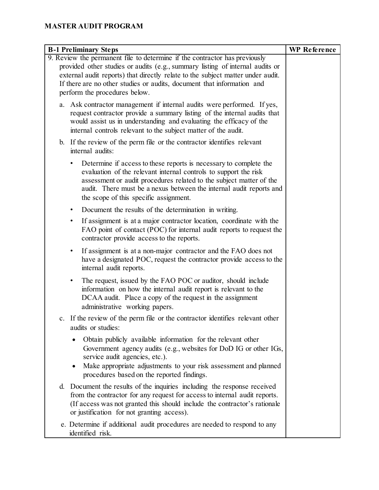| <b>B-1 Preliminary Steps</b>                                                                                                                                                                                                                                                                                                                              | <b>WP</b> Reference |
|-----------------------------------------------------------------------------------------------------------------------------------------------------------------------------------------------------------------------------------------------------------------------------------------------------------------------------------------------------------|---------------------|
| 9. Review the permanent file to determine if the contractor has previously<br>provided other studies or audits (e.g., summary listing of internal audits or<br>external audit reports) that directly relate to the subject matter under audit.<br>If there are no other studies or audits, document that information and<br>perform the procedures below. |                     |
| a. Ask contractor management if internal audits were performed. If yes,<br>request contractor provide a summary listing of the internal audits that<br>would assist us in understanding and evaluating the efficacy of the<br>internal controls relevant to the subject matter of the audit.                                                              |                     |
| b. If the review of the perm file or the contractor identifies relevant<br>internal audits:                                                                                                                                                                                                                                                               |                     |
| Determine if access to these reports is necessary to complete the<br>evaluation of the relevant internal controls to support the risk<br>assessment or audit procedures related to the subject matter of the<br>audit. There must be a nexus between the internal audit reports and<br>the scope of this specific assignment.                             |                     |
| Document the results of the determination in writing.<br>$\bullet$                                                                                                                                                                                                                                                                                        |                     |
| If assignment is at a major contractor location, coordinate with the<br>٠<br>FAO point of contact (POC) for internal audit reports to request the<br>contractor provide access to the reports.                                                                                                                                                            |                     |
| If assignment is at a non-major contractor and the FAO does not<br>٠<br>have a designated POC, request the contractor provide access to the<br>internal audit reports.                                                                                                                                                                                    |                     |
| The request, issued by the FAO POC or auditor, should include<br>$\bullet$<br>information on how the internal audit report is relevant to the<br>DCAA audit. Place a copy of the request in the assignment<br>administrative working papers.                                                                                                              |                     |
| c. If the review of the perm file or the contractor identifies relevant other<br>audits or studies:                                                                                                                                                                                                                                                       |                     |
| Obtain publicly available information for the relevant other<br>$\bullet$<br>Government agency audits (e.g., websites for DoD IG or other IGs,<br>service audit agencies, etc.).<br>Make appropriate adjustments to your risk assessment and planned<br>٠<br>procedures based on the reported findings.                                                   |                     |
| d. Document the results of the inquiries including the response received<br>from the contractor for any request for access to internal audit reports.<br>(If access was not granted this should include the contractor's rationale<br>or justification for not granting access).                                                                          |                     |
| e. Determine if additional audit procedures are needed to respond to any<br>identified risk.                                                                                                                                                                                                                                                              |                     |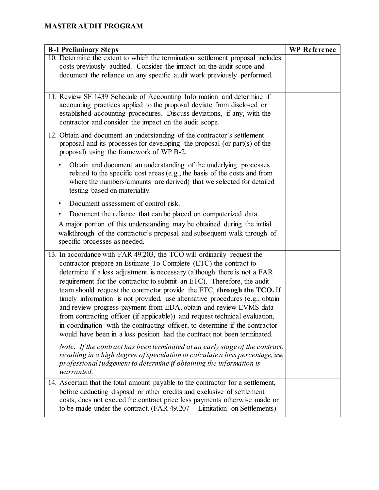| <b>B-1 Preliminary Steps</b>                                                                                                                                                                                                                                                                                                                                                                                                                                                                                                                                                                                                                                                                                                                                                | <b>WP</b> Reference |
|-----------------------------------------------------------------------------------------------------------------------------------------------------------------------------------------------------------------------------------------------------------------------------------------------------------------------------------------------------------------------------------------------------------------------------------------------------------------------------------------------------------------------------------------------------------------------------------------------------------------------------------------------------------------------------------------------------------------------------------------------------------------------------|---------------------|
| 10. Determine the extent to which the termination settlement proposal includes                                                                                                                                                                                                                                                                                                                                                                                                                                                                                                                                                                                                                                                                                              |                     |
| costs previously audited. Consider the impact on the audit scope and<br>document the reliance on any specific audit work previously performed.                                                                                                                                                                                                                                                                                                                                                                                                                                                                                                                                                                                                                              |                     |
|                                                                                                                                                                                                                                                                                                                                                                                                                                                                                                                                                                                                                                                                                                                                                                             |                     |
| 11. Review SF 1439 Schedule of Accounting Information and determine if                                                                                                                                                                                                                                                                                                                                                                                                                                                                                                                                                                                                                                                                                                      |                     |
| accounting practices applied to the proposal deviate from disclosed or<br>established accounting procedures. Discuss deviations, if any, with the<br>contractor and consider the impact on the audit scope.                                                                                                                                                                                                                                                                                                                                                                                                                                                                                                                                                                 |                     |
| 12. Obtain and document an understanding of the contractor's settlement<br>proposal and its processes for developing the proposal (or part(s) of the<br>proposal) using the framework of WP B-2.                                                                                                                                                                                                                                                                                                                                                                                                                                                                                                                                                                            |                     |
| Obtain and document an understanding of the underlying processes<br>related to the specific cost areas (e.g., the basis of the costs and from<br>where the numbers/amounts are derived) that we selected for detailed<br>testing based on materiality.                                                                                                                                                                                                                                                                                                                                                                                                                                                                                                                      |                     |
| Document assessment of control risk.                                                                                                                                                                                                                                                                                                                                                                                                                                                                                                                                                                                                                                                                                                                                        |                     |
| Document the reliance that can be placed on computerized data.                                                                                                                                                                                                                                                                                                                                                                                                                                                                                                                                                                                                                                                                                                              |                     |
| A major portion of this understanding may be obtained during the initial<br>walkthrough of the contractor's proposal and subsequent walk through of<br>specific processes as needed.                                                                                                                                                                                                                                                                                                                                                                                                                                                                                                                                                                                        |                     |
| 13. In accordance with FAR 49.203, the TCO will ordinarily request the<br>contractor prepare an Estimate To Complete (ETC) the contract to<br>determine if a loss adjustment is necessary (although there is not a FAR<br>requirement for the contractor to submit an ETC). Therefore, the audit<br>team should request the contractor provide the ETC, through the TCO. If<br>timely information is not provided, use alternative procedures (e.g., obtain<br>and review progress payment from EDA, obtain and review EVMS data<br>from contracting officer (if applicable)) and request technical evaluation,<br>in coordination with the contracting officer, to determine if the contractor<br>would have been in a loss position had the contract not been terminated. |                     |
| Note: If the contract has been terminated at an early stage of the contract,<br>resulting in a high degree of speculation to calculate a loss percentage, use<br>professional judgement to determine if obtaining the information is<br>warranted.                                                                                                                                                                                                                                                                                                                                                                                                                                                                                                                          |                     |
| 14. Ascertain that the total amount payable to the contractor for a settlement,<br>before deducting disposal or other credits and exclusive of settlement<br>costs, does not exceed the contract price less payments otherwise made or<br>to be made under the contract. $(FAR 49.207 - Limitation on Settlements)$                                                                                                                                                                                                                                                                                                                                                                                                                                                         |                     |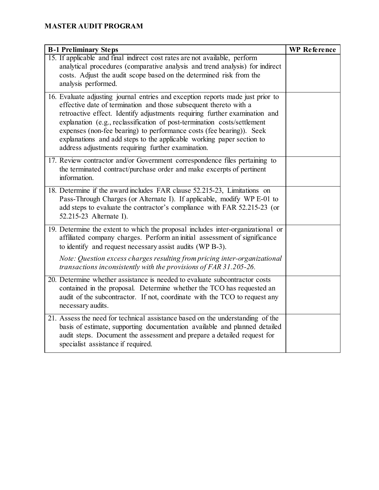| <b>B-1 Preliminary Steps</b>                                                                                                                                                                                                                                                                                                                                                                                                                                                                                          | <b>WP</b> Reference |
|-----------------------------------------------------------------------------------------------------------------------------------------------------------------------------------------------------------------------------------------------------------------------------------------------------------------------------------------------------------------------------------------------------------------------------------------------------------------------------------------------------------------------|---------------------|
| 15. If applicable and final indirect cost rates are not available, perform<br>analytical procedures (comparative analysis and trend analysis) for indirect<br>costs. Adjust the audit scope based on the determined risk from the<br>analysis performed.                                                                                                                                                                                                                                                              |                     |
| 16. Evaluate adjusting journal entries and exception reports made just prior to<br>effective date of termination and those subsequent thereto with a<br>retroactive effect. Identify adjustments requiring further examination and<br>explanation (e.g., reclassification of post-termination costs/settlement<br>expenses (non-fee bearing) to performance costs (fee bearing)). Seek<br>explanations and add steps to the applicable working paper section to<br>address adjustments requiring further examination. |                     |
| 17. Review contractor and/or Government correspondence files pertaining to<br>the terminated contract/purchase order and make excerpts of pertinent<br>information.                                                                                                                                                                                                                                                                                                                                                   |                     |
| 18. Determine if the award includes FAR clause 52.215-23, Limitations on<br>Pass-Through Charges (or Alternate I). If applicable, modify WP E-01 to<br>add steps to evaluate the contractor's compliance with FAR 52.215-23 (or<br>52.215-23 Alternate I).                                                                                                                                                                                                                                                            |                     |
| 19. Determine the extent to which the proposal includes inter-organizational or<br>affiliated company charges. Perform an initial assessment of significance<br>to identify and request necessary assist audits (WP B-3).<br>Note: Question excess charges resulting from pricing inter-organizational                                                                                                                                                                                                                |                     |
| transactions inconsistently with the provisions of FAR 31.205-26.                                                                                                                                                                                                                                                                                                                                                                                                                                                     |                     |
| 20. Determine whether assistance is needed to evaluate subcontractor costs<br>contained in the proposal. Determine whether the TCO has requested an<br>audit of the subcontractor. If not, coordinate with the TCO to request any<br>necessary audits.                                                                                                                                                                                                                                                                |                     |
| 21. Assess the need for technical assistance based on the understanding of the<br>basis of estimate, supporting documentation available and planned detailed<br>audit steps. Document the assessment and prepare a detailed request for<br>specialist assistance if required.                                                                                                                                                                                                                                         |                     |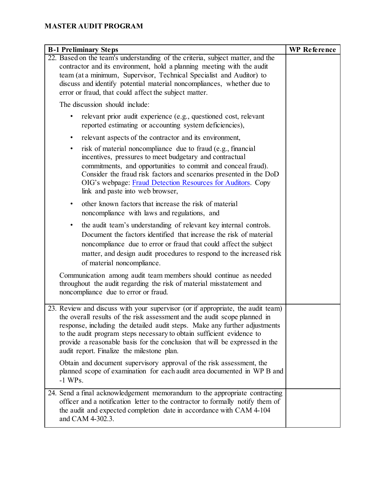| <b>B-1 Preliminary Steps</b>                                                                                                                                                                                                                                                                                                                                                                                                                     | <b>WP</b> Reference |
|--------------------------------------------------------------------------------------------------------------------------------------------------------------------------------------------------------------------------------------------------------------------------------------------------------------------------------------------------------------------------------------------------------------------------------------------------|---------------------|
| 22. Based on the team's understanding of the criteria, subject matter, and the<br>contractor and its environment, hold a planning meeting with the audit<br>team (at a minimum, Supervisor, Technical Specialist and Auditor) to<br>discuss and identify potential material noncompliances, whether due to<br>error or fraud, that could affect the subject matter.                                                                              |                     |
| The discussion should include:                                                                                                                                                                                                                                                                                                                                                                                                                   |                     |
| relevant prior audit experience (e.g., questioned cost, relevant<br>reported estimating or accounting system deficiencies),                                                                                                                                                                                                                                                                                                                      |                     |
| relevant aspects of the contractor and its environment,<br>٠                                                                                                                                                                                                                                                                                                                                                                                     |                     |
| risk of material noncompliance due to fraud (e.g., financial<br>٠<br>incentives, pressures to meet budgetary and contractual<br>commitments, and opportunities to commit and conceal fraud).<br>Consider the fraud risk factors and scenarios presented in the DoD<br>OIG's webpage: Fraud Detection Resources for Auditors. Copy<br>link and paste into web browser,                                                                            |                     |
| other known factors that increase the risk of material<br>noncompliance with laws and regulations, and                                                                                                                                                                                                                                                                                                                                           |                     |
| the audit team's understanding of relevant key internal controls.<br>٠<br>Document the factors identified that increase the risk of material<br>noncompliance due to error or fraud that could affect the subject<br>matter, and design audit procedures to respond to the increased risk<br>of material noncompliance.                                                                                                                          |                     |
| Communication among audit team members should continue as needed<br>throughout the audit regarding the risk of material misstatement and<br>noncompliance due to error or fraud.                                                                                                                                                                                                                                                                 |                     |
| 23. Review and discuss with your supervisor (or if appropriate, the audit team)<br>the overall results of the risk assessment and the audit scope planned in<br>response, including the detailed audit steps. Make any further adjustments<br>to the audit program steps necessary to obtain sufficient evidence to<br>provide a reasonable basis for the conclusion that will be expressed in the<br>audit report. Finalize the milestone plan. |                     |
| Obtain and document supervisory approval of the risk assessment, the<br>planned scope of examination for each audit area documented in WP B and<br>$-1$ WPs.                                                                                                                                                                                                                                                                                     |                     |
| 24. Send a final acknowledgement memorandum to the appropriate contracting<br>officer and a notification letter to the contractor to formally notify them of<br>the audit and expected completion date in accordance with CAM 4-104<br>and CAM 4-302.3.                                                                                                                                                                                          |                     |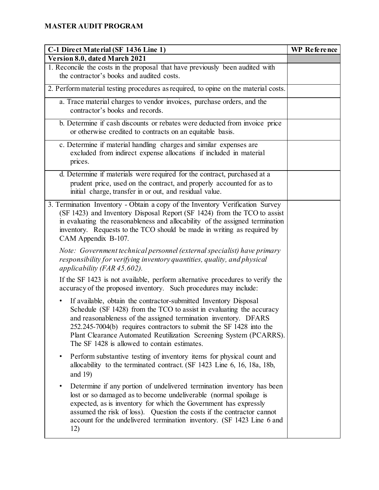| C-1 Direct Material (SF 1436 Line 1)                                                                                                                                                                                                                                                                                                                                                                          | <b>WP</b> Reference |
|---------------------------------------------------------------------------------------------------------------------------------------------------------------------------------------------------------------------------------------------------------------------------------------------------------------------------------------------------------------------------------------------------------------|---------------------|
| Version 8.0, dated March 2021                                                                                                                                                                                                                                                                                                                                                                                 |                     |
| 1. Reconcile the costs in the proposal that have previously been audited with<br>the contractor's books and audited costs.                                                                                                                                                                                                                                                                                    |                     |
| 2. Perform material testing procedures as required, to opine on the material costs.                                                                                                                                                                                                                                                                                                                           |                     |
| a. Trace material charges to vendor invoices, purchase orders, and the<br>contractor's books and records.                                                                                                                                                                                                                                                                                                     |                     |
| b. Determine if cash discounts or rebates were deducted from invoice price<br>or otherwise credited to contracts on an equitable basis.                                                                                                                                                                                                                                                                       |                     |
| c. Determine if material handling charges and similar expenses are<br>excluded from indirect expense allocations if included in material<br>prices.                                                                                                                                                                                                                                                           |                     |
| d. Determine if materials were required for the contract, purchased at a<br>prudent price, used on the contract, and properly accounted for as to<br>initial charge, transfer in or out, and residual value.                                                                                                                                                                                                  |                     |
| 3. Termination Inventory - Obtain a copy of the Inventory Verification Survey<br>(SF 1423) and Inventory Disposal Report (SF 1424) from the TCO to assist<br>in evaluating the reasonableness and allocability of the assigned termination<br>inventory. Requests to the TCO should be made in writing as required by<br>CAM Appendix B-107.                                                                  |                     |
| Note: Government technical personnel (external specialist) have primary<br>responsibility for verifying inventory quantities, quality, and physical<br>applicability (FAR $45.602$ ).                                                                                                                                                                                                                         |                     |
| If the SF 1423 is not available, perform alternative procedures to verify the<br>accuracy of the proposed inventory. Such procedures may include:                                                                                                                                                                                                                                                             |                     |
| If available, obtain the contractor-submitted Inventory Disposal<br>٠<br>Schedule (SF 1428) from the TCO to assist in evaluating the accuracy<br>and reasonableness of the assigned termination inventory. DFARS<br>252.245-7004(b) requires contractors to submit the SF 1428 into the<br>Plant Clearance Automated Reutilization Screening System (PCARRS).<br>The SF 1428 is allowed to contain estimates. |                     |
| Perform substantive testing of inventory items for physical count and<br>$\bullet$<br>allocability to the terminated contract. (SF 1423 Line 6, 16, 18a, 18b,<br>and $19$ )                                                                                                                                                                                                                                   |                     |
| Determine if any portion of undelivered termination inventory has been<br>$\bullet$<br>lost or so damaged as to become undeliverable (normal spoilage is<br>expected, as is inventory for which the Government has expressly<br>assumed the risk of loss). Question the costs if the contractor cannot<br>account for the undelivered termination inventory. (SF 1423 Line 6 and<br>12)                       |                     |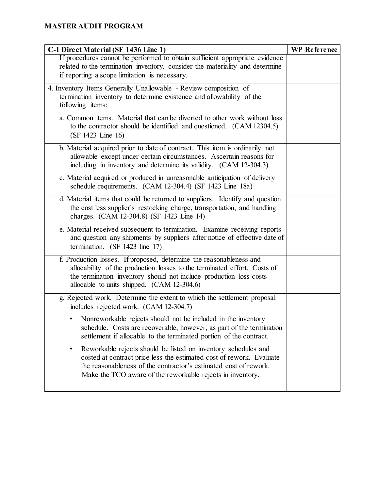| C-1 Direct Material (SF 1436 Line 1)                                         | <b>WP</b> Reference |
|------------------------------------------------------------------------------|---------------------|
| If procedures cannot be performed to obtain sufficient appropriate evidence  |                     |
| related to the termination inventory, consider the materiality and determine |                     |
| if reporting a scope limitation is necessary.                                |                     |
| 4. Inventory Items Generally Unallowable - Review composition of             |                     |
| termination inventory to determine existence and allowability of the         |                     |
| following items:                                                             |                     |
| a. Common items. Material that can be diverted to other work without loss    |                     |
| to the contractor should be identified and questioned. (CAM 12304.5)         |                     |
| (SF 1423 Line 16)                                                            |                     |
| b. Material acquired prior to date of contract. This item is ordinarily not  |                     |
| allowable except under certain circumstances. Ascertain reasons for          |                     |
| including in inventory and determine its validity. (CAM 12-304.3)            |                     |
| c. Material acquired or produced in unreasonable anticipation of delivery    |                     |
| schedule requirements. (CAM 12-304.4) (SF 1423 Line 18a)                     |                     |
| d. Material items that could be returned to suppliers. Identify and question |                     |
| the cost less supplier's restocking charge, transportation, and handling     |                     |
| charges. (CAM 12-304.8) (SF 1423 Line 14)                                    |                     |
| e. Material received subsequent to termination. Examine receiving reports    |                     |
| and question any shipments by suppliers after notice of effective date of    |                     |
| termination. (SF 1423 line 17)                                               |                     |
| f. Production losses. If proposed, determine the reasonableness and          |                     |
| allocability of the production losses to the terminated effort. Costs of     |                     |
| the termination inventory should not include production loss costs           |                     |
| allocable to units shipped. (CAM 12-304.6)                                   |                     |
| g. Rejected work. Determine the extent to which the settlement proposal      |                     |
| includes rejected work. (CAM 12-304.7)                                       |                     |
| Nonreworkable rejects should not be included in the inventory                |                     |
| schedule. Costs are recoverable, however, as part of the termination         |                     |
| settlement if allocable to the terminated portion of the contract.           |                     |
| Reworkable rejects should be listed on inventory schedules and<br>$\bullet$  |                     |
| costed at contract price less the estimated cost of rework. Evaluate         |                     |
| the reasonableness of the contractor's estimated cost of rework.             |                     |
| Make the TCO aware of the reworkable rejects in inventory.                   |                     |
|                                                                              |                     |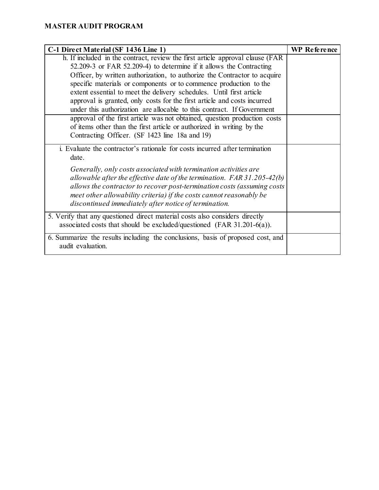| C-1 Direct Material (SF 1436 Line 1)                                            | <b>WP</b> Reference |
|---------------------------------------------------------------------------------|---------------------|
| h. If included in the contract, review the first article approval clause (FAR   |                     |
| 52.209-3 or FAR 52.209-4) to determine if it allows the Contracting             |                     |
| Officer, by written authorization, to authorize the Contractor to acquire       |                     |
| specific materials or components or to commence production to the               |                     |
| extent essential to meet the delivery schedules. Until first article            |                     |
| approval is granted, only costs for the first article and costs incurred        |                     |
| under this authorization are allocable to this contract. If Government          |                     |
| approval of the first article was not obtained, question production costs       |                     |
| of items other than the first article or authorized in writing by the           |                     |
| Contracting Officer. (SF 1423 line 18a and 19)                                  |                     |
| i. Evaluate the contractor's rationale for costs incurred after termination     |                     |
| date.                                                                           |                     |
| Generally, only costs associated with termination activities are                |                     |
| allowable after the effective date of the termination. $FAR\,31.205-42(b)$      |                     |
| allows the contractor to recover post-termination costs (assuming costs         |                     |
| meet other allowability criteria) if the costs cannot reasonably be             |                     |
| discontinued immediately after notice of termination.                           |                     |
| 5. Verify that any questioned direct material costs also considers directly     |                     |
| associated costs that should be excluded/questioned (FAR 31.201-6(a)).          |                     |
| 6. Summarize the results including the conclusions, basis of proposed cost, and |                     |
| audit evaluation.                                                               |                     |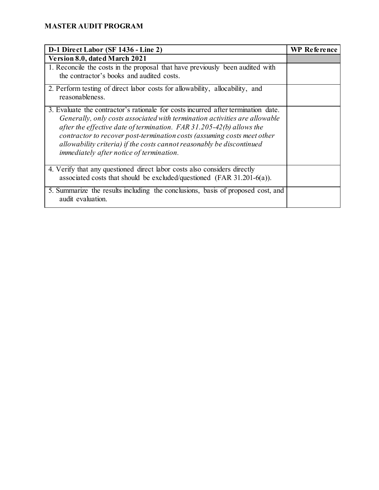| D-1 Direct Labor (SF 1436 - Line 2)                                                                                                                                                                                                                                                                                                                                                                                                       | <b>WP</b> Reference |
|-------------------------------------------------------------------------------------------------------------------------------------------------------------------------------------------------------------------------------------------------------------------------------------------------------------------------------------------------------------------------------------------------------------------------------------------|---------------------|
| Version 8.0, dated March 2021                                                                                                                                                                                                                                                                                                                                                                                                             |                     |
| 1. Reconcile the costs in the proposal that have previously been audited with<br>the contractor's books and audited costs.                                                                                                                                                                                                                                                                                                                |                     |
| 2. Perform testing of direct labor costs for allowability, allocability, and<br>reasonableness.                                                                                                                                                                                                                                                                                                                                           |                     |
| 3. Evaluate the contractor's rationale for costs incurred after termination date.<br>Generally, only costs associated with termination activities are allowable<br>after the effective date of termination. FAR $31.205-42(b)$ allows the<br>contractor to recover post-termination costs (assuming costs meet other<br>allowability criteria) if the costs cannot reasonably be discontinued<br>immediately after notice of termination. |                     |
| 4. Verify that any questioned direct labor costs also considers directly<br>associated costs that should be excluded/questioned (FAR 31.201-6(a)).                                                                                                                                                                                                                                                                                        |                     |
| 5. Summarize the results including the conclusions, basis of proposed cost, and<br>audit evaluation.                                                                                                                                                                                                                                                                                                                                      |                     |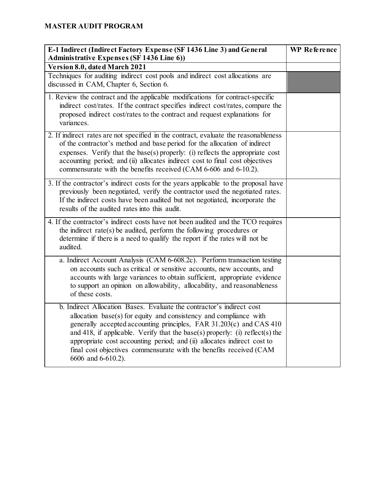| E-1 Indirect (Indirect Factory Expense (SF 1436 Line 3) and General<br><b>Administrative Expenses (SF 1436 Line 6))</b>                                                                                                                                                                                                                                                                                                                                                    | <b>WP</b> Reference |
|----------------------------------------------------------------------------------------------------------------------------------------------------------------------------------------------------------------------------------------------------------------------------------------------------------------------------------------------------------------------------------------------------------------------------------------------------------------------------|---------------------|
| Version 8.0, dated March 2021                                                                                                                                                                                                                                                                                                                                                                                                                                              |                     |
| Techniques for auditing indirect cost pools and indirect cost allocations are<br>discussed in CAM, Chapter 6, Section 6.                                                                                                                                                                                                                                                                                                                                                   |                     |
| 1. Review the contract and the applicable modifications for contract-specific<br>indirect cost/rates. If the contract specifies indirect cost/rates, compare the<br>proposed indirect cost/rates to the contract and request explanations for<br>variances.                                                                                                                                                                                                                |                     |
| 2. If indirect rates are not specified in the contract, evaluate the reasonableness<br>of the contractor's method and base period for the allocation of indirect<br>expenses. Verify that the base(s) properly: (i) reflects the appropriate cost<br>accounting period; and (ii) allocates indirect cost to final cost objectives<br>commensurate with the benefits received (CAM 6-606 and 6-10.2).                                                                       |                     |
| 3. If the contractor's indirect costs for the years applicable to the proposal have<br>previously been negotiated, verify the contractor used the negotiated rates.<br>If the indirect costs have been audited but not negotiated, incorporate the<br>results of the audited rates into this audit.                                                                                                                                                                        |                     |
| 4. If the contractor's indirect costs have not been audited and the TCO requires<br>the indirect rate(s) be audited, perform the following procedures or<br>determine if there is a need to qualify the report if the rates will not be<br>audited.                                                                                                                                                                                                                        |                     |
| a. Indirect Account Analysis (CAM 6-608.2c). Perform transaction testing<br>on accounts such as critical or sensitive accounts, new accounts, and<br>accounts with large variances to obtain sufficient, appropriate evidence<br>to support an opinion on allowability, allocability, and reasonableness<br>of these costs.                                                                                                                                                |                     |
| b. Indirect Allocation Bases. Evaluate the contractor's indirect cost<br>allocation $base(s)$ for equity and consistency and compliance with<br>generally accepted accounting principles, FAR 31.203(c) and CAS 410<br>and 418, if applicable. Verify that the base(s) properly: (i) reflect(s) the<br>appropriate cost accounting period; and (ii) allocates indirect cost to<br>final cost objectives commensurate with the benefits received (CAM<br>6606 and 6-610.2). |                     |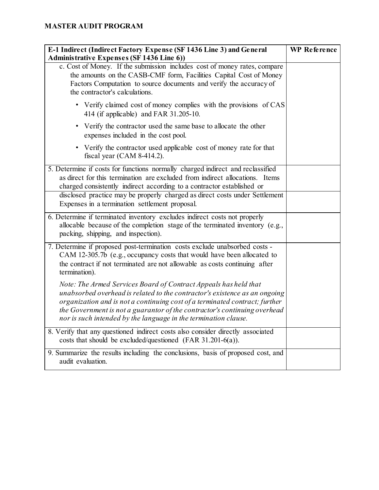| E-1 Indirect (Indirect Factory Expense (SF 1436 Line 3) and General                                                                                                                                                                                                                                                                                                           | <b>WP</b> Reference |
|-------------------------------------------------------------------------------------------------------------------------------------------------------------------------------------------------------------------------------------------------------------------------------------------------------------------------------------------------------------------------------|---------------------|
| <b>Administrative Expenses (SF 1436 Line 6))</b><br>c. Cost of Money. If the submission includes cost of money rates, compare<br>the amounts on the CASB-CMF form, Facilities Capital Cost of Money<br>Factors Computation to source documents and verify the accuracy of<br>the contractor's calculations.                                                                   |                     |
| • Verify claimed cost of money complies with the provisions of CAS<br>414 (if applicable) and FAR 31.205-10.                                                                                                                                                                                                                                                                  |                     |
| • Verify the contractor used the same base to allocate the other<br>expenses included in the cost pool.                                                                                                                                                                                                                                                                       |                     |
| • Verify the contractor used applicable cost of money rate for that<br>fiscal year (CAM $8-414.2$ ).                                                                                                                                                                                                                                                                          |                     |
| 5. Determine if costs for functions normally charged indirect and reclassified<br>as direct for this termination are excluded from indirect allocations. Items<br>charged consistently indirect according to a contractor established or                                                                                                                                      |                     |
| disclosed practice may be properly charged as direct costs under Settlement<br>Expenses in a termination settlement proposal.                                                                                                                                                                                                                                                 |                     |
| 6. Determine if terminated inventory excludes indirect costs not properly<br>allocable because of the completion stage of the terminated inventory (e.g.,<br>packing, shipping, and inspection).                                                                                                                                                                              |                     |
| 7. Determine if proposed post-termination costs exclude unabsorbed costs -<br>CAM 12-305.7b (e.g., occupancy costs that would have been allocated to<br>the contract if not terminated are not allowable as costs continuing after<br>termination).                                                                                                                           |                     |
| Note: The Armed Services Board of Contract Appeals has held that<br>unabsorbed overhead is related to the contractor's existence as an ongoing<br>organization and is not a continuing cost of a terminated contract; further<br>the Government is not a guarantor of the contractor's continuing overhead<br>nor is such intended by the language in the termination clause. |                     |
| 8. Verify that any questioned indirect costs also consider directly associated<br>costs that should be excluded/questioned (FAR $31.201-6(a)$ ).                                                                                                                                                                                                                              |                     |
| 9. Summarize the results including the conclusions, basis of proposed cost, and<br>audit evaluation.                                                                                                                                                                                                                                                                          |                     |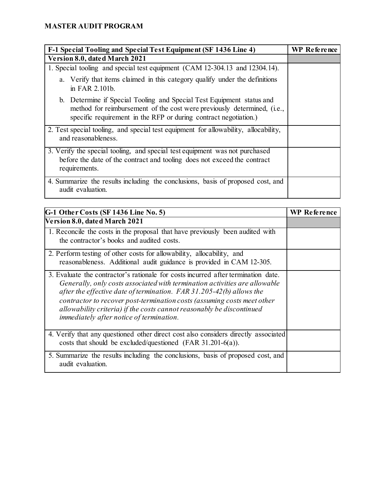| F-1 Special Tooling and Special Test Equipment (SF 1436 Line 4)                                                                                                                                                      | WP Reference |
|----------------------------------------------------------------------------------------------------------------------------------------------------------------------------------------------------------------------|--------------|
| Version 8.0, dated March 2021                                                                                                                                                                                        |              |
| 1. Special tooling and special test equipment (CAM 12-304.13 and 12304.14).                                                                                                                                          |              |
| a. Verify that items claimed in this category qualify under the definitions<br>in FAR 2.101b.                                                                                                                        |              |
| b. Determine if Special Tooling and Special Test Equipment status and<br>method for reimbursement of the cost were previously determined, (i.e.,<br>specific requirement in the RFP or during contract negotiation.) |              |
| 2. Test special tooling, and special test equipment for allowability, allocability,<br>and reasonableness.                                                                                                           |              |
| 3. Verify the special tooling, and special test equipment was not purchased<br>before the date of the contract and tooling does not exceed the contract<br>requirements.                                             |              |
| 4. Summarize the results including the conclusions, basis of proposed cost, and<br>audit evaluation.                                                                                                                 |              |

| G-1 Other Costs (SF 1436 Line No. 5)                                                                                                                                                                                                                                                                                                                                                                                                      | <b>WP Reference</b> |
|-------------------------------------------------------------------------------------------------------------------------------------------------------------------------------------------------------------------------------------------------------------------------------------------------------------------------------------------------------------------------------------------------------------------------------------------|---------------------|
| Version 8.0, dated March 2021                                                                                                                                                                                                                                                                                                                                                                                                             |                     |
| 1. Reconcile the costs in the proposal that have previously been audited with<br>the contractor's books and audited costs.                                                                                                                                                                                                                                                                                                                |                     |
| 2. Perform testing of other costs for allowability, allocability, and<br>reasonableness. Additional audit guidance is provided in CAM 12-305.                                                                                                                                                                                                                                                                                             |                     |
| 3. Evaluate the contractor's rationale for costs incurred after termination date.<br>Generally, only costs associated with termination activities are allowable<br>after the effective date of termination. FAR $31.205-42(b)$ allows the<br>contractor to recover post-termination costs (assuming costs meet other<br>allowability criteria) if the costs cannot reasonably be discontinued<br>immediately after notice of termination. |                     |
| 4. Verify that any questioned other direct cost also considers directly associated<br>costs that should be excluded/questioned (FAR $31.201-6(a)$ ).                                                                                                                                                                                                                                                                                      |                     |
| 5. Summarize the results including the conclusions, basis of proposed cost, and<br>audit evaluation.                                                                                                                                                                                                                                                                                                                                      |                     |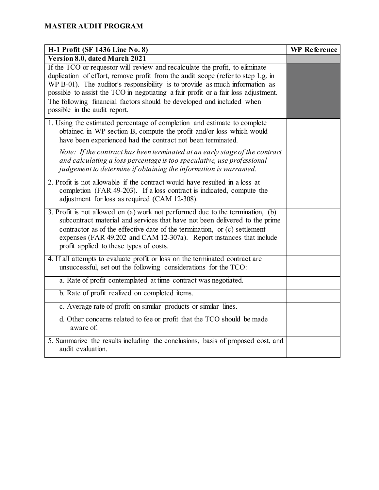| H-1 Profit (SF 1436 Line No. 8)                                                                                                                                                                                                                                                                                                                                                                                                                 | <b>WP Reference</b> |
|-------------------------------------------------------------------------------------------------------------------------------------------------------------------------------------------------------------------------------------------------------------------------------------------------------------------------------------------------------------------------------------------------------------------------------------------------|---------------------|
| Version 8.0, dated March 2021                                                                                                                                                                                                                                                                                                                                                                                                                   |                     |
| If the TCO or requestor will review and recalculate the profit, to eliminate<br>duplication of effort, remove profit from the audit scope (refer to step 1.g. in<br>WP B-01). The auditor's responsibility is to provide as much information as<br>possible to assist the TCO in negotiating a fair profit or a fair loss adjustment.<br>The following financial factors should be developed and included when<br>possible in the audit report. |                     |
| 1. Using the estimated percentage of completion and estimate to complete<br>obtained in WP section B, compute the profit and/or loss which would<br>have been experienced had the contract not been terminated.                                                                                                                                                                                                                                 |                     |
| Note: If the contract has been terminated at an early stage of the contract<br>and calculating a loss percentage is too speculative, use professional<br>judgement to determine if obtaining the information is warranted.                                                                                                                                                                                                                      |                     |
| 2. Profit is not allowable if the contract would have resulted in a loss at<br>completion (FAR 49-203). If a loss contract is indicated, compute the<br>adjustment for loss as required (CAM 12-308).                                                                                                                                                                                                                                           |                     |
| 3. Profit is not allowed on (a) work not performed due to the termination, (b)<br>subcontract material and services that have not been delivered to the prime<br>contractor as of the effective date of the termination, or (c) settlement<br>expenses (FAR 49.202 and CAM 12-307a). Report instances that include<br>profit applied to these types of costs.                                                                                   |                     |
| 4. If all attempts to evaluate profit or loss on the terminated contract are<br>unsuccessful, set out the following considerations for the TCO:                                                                                                                                                                                                                                                                                                 |                     |
| a. Rate of profit contemplated at time contract was negotiated.                                                                                                                                                                                                                                                                                                                                                                                 |                     |
| b. Rate of profit realized on completed items.                                                                                                                                                                                                                                                                                                                                                                                                  |                     |
| c. Average rate of profit on similar products or similar lines.                                                                                                                                                                                                                                                                                                                                                                                 |                     |
| d. Other concerns related to fee or profit that the TCO should be made<br>aware of.                                                                                                                                                                                                                                                                                                                                                             |                     |
| 5. Summarize the results including the conclusions, basis of proposed cost, and<br>audit evaluation.                                                                                                                                                                                                                                                                                                                                            |                     |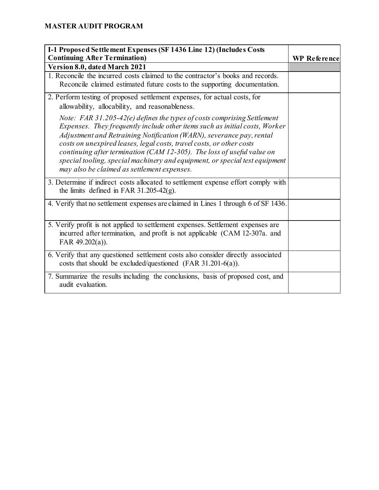| I-1 Proposed Settlement Expenses (SF 1436 Line 12) (Includes Costs                                                                                                                                                                                                                                                                                                                                                                                                                                             |                     |
|----------------------------------------------------------------------------------------------------------------------------------------------------------------------------------------------------------------------------------------------------------------------------------------------------------------------------------------------------------------------------------------------------------------------------------------------------------------------------------------------------------------|---------------------|
| <b>Continuing After Termination)</b>                                                                                                                                                                                                                                                                                                                                                                                                                                                                           | <b>WP Reference</b> |
| Version 8.0, dated March 2021                                                                                                                                                                                                                                                                                                                                                                                                                                                                                  |                     |
| 1. Reconcile the incurred costs claimed to the contractor's books and records.<br>Reconcile claimed estimated future costs to the supporting documentation.                                                                                                                                                                                                                                                                                                                                                    |                     |
| 2. Perform testing of proposed settlement expenses, for actual costs, for<br>allowability, allocability, and reasonableness.                                                                                                                                                                                                                                                                                                                                                                                   |                     |
| Note: FAR 31.205-42(e) defines the types of costs comprising Settlement<br>Expenses. They frequently include other items such as initial costs, Worker<br>Adjustment and Retraining Notification (WARN), severance pay, rental<br>costs on unexpired leases, legal costs, travel costs, or other costs<br>continuing after termination (CAM 12-305). The loss of useful value on<br>special tooling, special machinery and equipment, or special test equipment<br>may also be claimed as settlement expenses. |                     |
| 3. Determine if indirect costs allocated to settlement expense effort comply with<br>the limits defined in FAR 31.205-42 $(g)$ .                                                                                                                                                                                                                                                                                                                                                                               |                     |
| 4. Verify that no settlement expenses are claimed in Lines 1 through 6 of SF 1436.                                                                                                                                                                                                                                                                                                                                                                                                                             |                     |
| 5. Verify profit is not applied to settlement expenses. Settlement expenses are<br>incurred after termination, and profit is not applicable (CAM 12-307a. and<br>FAR $49.202(a)$ ).                                                                                                                                                                                                                                                                                                                            |                     |
| 6. Verify that any questioned settlement costs also consider directly associated<br>costs that should be excluded/questioned (FAR $31.201-6(a)$ ).                                                                                                                                                                                                                                                                                                                                                             |                     |
| 7. Summarize the results including the conclusions, basis of proposed cost, and<br>audit evaluation.                                                                                                                                                                                                                                                                                                                                                                                                           |                     |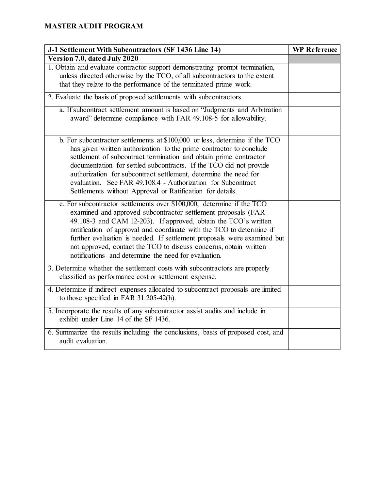| J-1 Settlement With Subcontractors (SF 1436 Line 14)                                                                                                                                                                                                                                                                                                                                                                                                                                           | <b>WP</b> Reference |
|------------------------------------------------------------------------------------------------------------------------------------------------------------------------------------------------------------------------------------------------------------------------------------------------------------------------------------------------------------------------------------------------------------------------------------------------------------------------------------------------|---------------------|
| Version 7.0, dated July 2020                                                                                                                                                                                                                                                                                                                                                                                                                                                                   |                     |
| 1. Obtain and evaluate contractor support demonstrating prompt termination,<br>unless directed otherwise by the TCO, of all subcontractors to the extent<br>that they relate to the performance of the terminated prime work.                                                                                                                                                                                                                                                                  |                     |
| 2. Evaluate the basis of proposed settlements with subcontractors.                                                                                                                                                                                                                                                                                                                                                                                                                             |                     |
| a. If subcontract settlement amount is based on "Judgments and Arbitration<br>award" determine compliance with FAR 49.108-5 for allowability.                                                                                                                                                                                                                                                                                                                                                  |                     |
| b. For subcontractor settlements at \$100,000 or less, determine if the TCO<br>has given written authorization to the prime contractor to conclude<br>settlement of subcontract termination and obtain prime contractor<br>documentation for settled subcontracts. If the TCO did not provide<br>authorization for subcontract settlement, determine the need for<br>evaluation. See FAR 49.108.4 - Authorization for Subcontract<br>Settlements without Approval or Ratification for details. |                     |
| c. For subcontractor settlements over \$100,000, determine if the TCO<br>examined and approved subcontractor settlement proposals (FAR<br>49.108-3 and CAM 12-203). If approved, obtain the TCO's written<br>notification of approval and coordinate with the TCO to determine if<br>further evaluation is needed. If settlement proposals were examined but<br>not approved, contact the TCO to discuss concerns, obtain written<br>notifications and determine the need for evaluation.      |                     |
| 3. Determine whether the settlement costs with subcontractors are properly<br>classified as performance cost or settlement expense.                                                                                                                                                                                                                                                                                                                                                            |                     |
| 4. Determine if indirect expenses allocated to subcontract proposals are limited<br>to those specified in FAR 31.205-42(h).                                                                                                                                                                                                                                                                                                                                                                    |                     |
| 5. Incorporate the results of any subcontractor assist audits and include in<br>exhibit under Line 14 of the SF 1436.                                                                                                                                                                                                                                                                                                                                                                          |                     |
| 6. Summarize the results including the conclusions, basis of proposed cost, and<br>audit evaluation.                                                                                                                                                                                                                                                                                                                                                                                           |                     |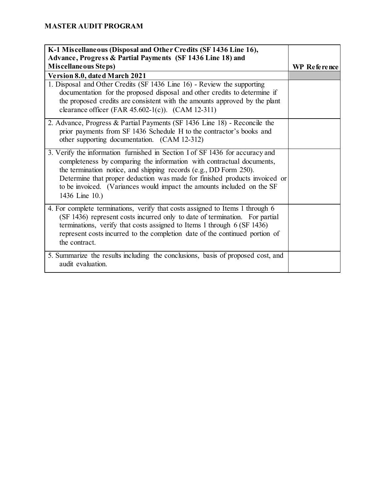| K-1 Miscellaneous (Disposal and Other Credits (SF 1436 Line 16),<br>Advance, Progress & Partial Payments (SF 1436 Line 18) and                                                                                                                                                                                                                                                                       |                     |
|------------------------------------------------------------------------------------------------------------------------------------------------------------------------------------------------------------------------------------------------------------------------------------------------------------------------------------------------------------------------------------------------------|---------------------|
| Miscellaneous Steps)                                                                                                                                                                                                                                                                                                                                                                                 | <b>WP</b> Reference |
| Version 8.0, dated March 2021                                                                                                                                                                                                                                                                                                                                                                        |                     |
| 1. Disposal and Other Credits (SF 1436 Line 16) - Review the supporting<br>documentation for the proposed disposal and other credits to determine if<br>the proposed credits are consistent with the amounts approved by the plant<br>clearance officer (FAR $45.602-1(c)$ ). (CAM 12-311)                                                                                                           |                     |
| 2. Advance, Progress & Partial Payments (SF 1436 Line 18) - Reconcile the<br>prior payments from SF 1436 Schedule H to the contractor's books and<br>other supporting documentation. (CAM 12-312)                                                                                                                                                                                                    |                     |
| 3. Verify the information furnished in Section I of SF 1436 for accuracy and<br>completeness by comparing the information with contractual documents,<br>the termination notice, and shipping records (e.g., DD Form 250).<br>Determine that proper deduction was made for finished products invoiced or<br>to be invoiced. (Variances would impact the amounts included on the SF<br>1436 Line 10.) |                     |
| 4. For complete terminations, verify that costs assigned to Items 1 through 6<br>(SF 1436) represent costs incurred only to date of termination. For partial<br>terminations, verify that costs assigned to Items 1 through 6 (SF 1436)<br>represent costs incurred to the completion date of the continued portion of<br>the contract.                                                              |                     |
| 5. Summarize the results including the conclusions, basis of proposed cost, and<br>audit evaluation.                                                                                                                                                                                                                                                                                                 |                     |